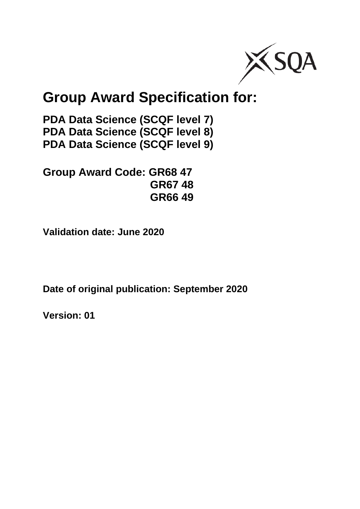

# **Group Award Specification for:**

**PDA Data Science (SCQF level 7) PDA Data Science (SCQF level 8) PDA Data Science (SCQF level 9)**

**Group Award Code: GR68 47 GR67 48 GR66 49**

**Validation date: June 2020**

**Date of original publication: September 2020**

**Version: 01**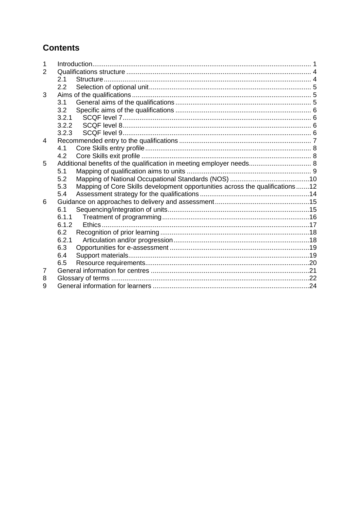## **Contents**

| 1 |       |                                                                              |  |
|---|-------|------------------------------------------------------------------------------|--|
| 2 |       |                                                                              |  |
|   | 2.1   |                                                                              |  |
|   | 2.2   |                                                                              |  |
| 3 |       |                                                                              |  |
|   | 3.1   |                                                                              |  |
|   | 3.2   |                                                                              |  |
|   | 3.2.1 |                                                                              |  |
|   | 3.2.2 |                                                                              |  |
|   | 3.2.3 |                                                                              |  |
| 4 |       |                                                                              |  |
|   | 4.1   |                                                                              |  |
|   | 4.2   |                                                                              |  |
| 5 |       |                                                                              |  |
|   | 5.1   |                                                                              |  |
|   | 5.2   |                                                                              |  |
|   | 5.3   | Mapping of Core Skills development opportunities across the qualifications12 |  |
|   | 5.4   |                                                                              |  |
| 6 |       |                                                                              |  |
|   | 6.1   |                                                                              |  |
|   | 6.1.1 |                                                                              |  |
|   | 6.1.2 |                                                                              |  |
|   | 6.2   |                                                                              |  |
|   | 6.2.1 |                                                                              |  |
|   | 6.3   |                                                                              |  |
|   | 6.4   |                                                                              |  |
|   | 6.5   |                                                                              |  |
| 7 |       |                                                                              |  |
| 8 |       |                                                                              |  |
| 9 |       |                                                                              |  |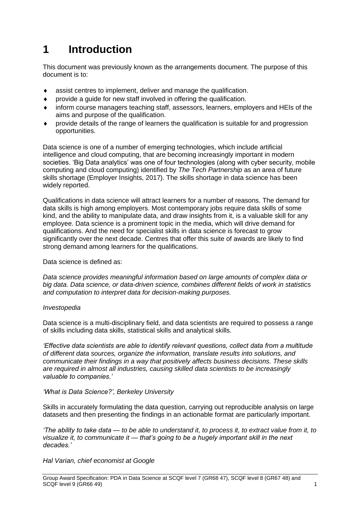## <span id="page-2-0"></span>**1 Introduction**

This document was previously known as the arrangements document. The purpose of this document is to:

- assist centres to implement, deliver and manage the qualification.
- provide a guide for new staff involved in offering the qualification.
- inform course managers teaching staff, assessors, learners, employers and HEIs of the aims and purpose of the qualification.
- provide details of the range of learners the qualification is suitable for and progression opportunities.

Data science is one of a number of emerging technologies, which include artificial intelligence and cloud computing, that are becoming increasingly important in modern societies. 'Big Data analytics' was one of four technologies (along with cyber security, mobile computing and cloud computing) identified by *The Tech Partnership* as an area of future skills shortage (Employer Insights, 2017). The skills shortage in data science has been widely reported.

Qualifications in data science will attract learners for a number of reasons. The demand for data skills is high among employers. Most contemporary jobs require data skills of some kind, and the ability to manipulate data, and draw insights from it, is a valuable skill for any employee. Data science is a prominent topic in the media, which will drive demand for qualifications. And the need for specialist skills in data science is forecast to grow significantly over the next decade. Centres that offer this suite of awards are likely to find strong demand among learners for the qualifications.

Data science is defined as:

*Data science provides meaningful information based on large amounts of complex data or [big data.](https://www.investopedia.com/terms/b/big-data.asp) Data science, or data-driven science, combines different fields of work in statistics and computation to interpret data for decision-making purposes.*

#### *Investopedia*

Data science is a multi-disciplinary field, and data scientists are required to possess a range of skills including data skills, statistical skills and analytical skills.

*'Effective data scientists are able to identify relevant questions, collect data from a multitude of different data sources, organize the information, translate results into solutions, and communicate their findings in a way that positively affects business decisions. These skills are required in almost all industries, causing skilled data scientists to be increasingly valuable to companies.'*

#### *'What is Data Science?', Berkeley University*

Skills in accurately formulating the data question, carrying out reproducible analysis on large datasets and then presenting the findings in an actionable format are particularly important.

*'The ability to take data — to be able to understand it, to process it, to extract value from it, to visualize it, to communicate it — that's going to be a hugely important skill in the next decades.'*

*Hal Varian, chief economist at Google*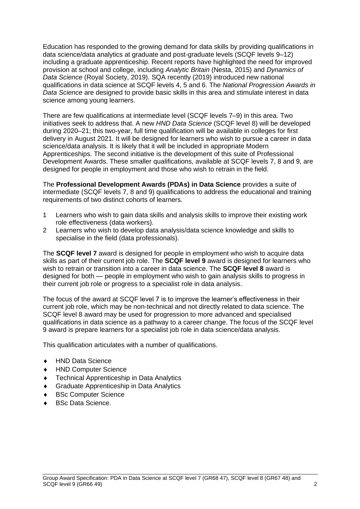Education has responded to the growing demand for data skills by providing qualifications in data science/data analytics at graduate and post-graduate levels (SCQF levels 9–12) including a graduate apprenticeship. Recent reports have highlighted the need for improved provision at school and college, including *Analytic Britain* (Nesta, 2015) and *Dynamics of Data Science* (Royal Society, 2019). SQA recently (2019) introduced new national qualifications in data science at SCQF levels 4, 5 and 6. The *National Progression Awards in Data Science* are designed to provide basic skills in this area and stimulate interest in data science among young learners.

There are few qualifications at intermediate level (SCQF levels 7–9) in this area. Two initiatives seek to address that. A new *HND Data Science* (SCQF level 8) will be developed during 2020–21; this two-year, full time qualification will be available in colleges for first delivery in August 2021. It will be designed for learners who wish to pursue a career in data science/data analysis. It is likely that it will be included in appropriate Modern Apprenticeships. The second initiative is the development of this suite of Professional Development Awards. These smaller qualifications, available at SCQF levels 7, 8 and 9, are designed for people in employment and those who wish to retrain in the field.

The **Professional Development Awards (PDAs) in Data Science** provides a suite of intermediate (SCQF levels 7, 8 and 9) qualifications to address the educational and training requirements of two distinct cohorts of learners.

- 1 Learners who wish to gain data skills and analysis skills to improve their existing work role effectiveness (data workers).
- 2 Learners who wish to develop data analysis/data science knowledge and skills to specialise in the field (data professionals).

The **SCQF level 7** award is designed for people in employment who wish to acquire data skills as part of their current job role. The **SCQF level 9** award is designed for learners who wish to retrain or transition into a career in data science. The **SCQF level 8** award is designed for both — people in employment who wish to gain analysis skills to progress in their current job role or progress to a specialist role in data analysis.

The focus of the award at SCQF level 7 is to improve the learner's effectiveness in their current job role, which may be non-technical and not directly related to data science. The SCQF level 8 award may be used for progression to more advanced and specialised qualifications in data science as a pathway to a career change. The focus of the SCQF level 9 award is prepare learners for a specialist job role in data science/data analysis.

This qualification articulates with a number of qualifications.

- HND Data Science
- ◆ HND Computer Science
- Technical Apprenticeship in Data Analytics
- Graduate Apprenticeship in Data Analytics
- BSc Computer Science
- BSc Data Science.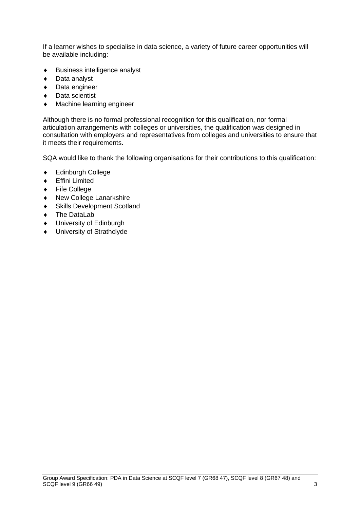If a learner wishes to specialise in data science, a variety of future career opportunities will be available including:

- Business intelligence analyst
- ◆ Data analyst
- ◆ Data engineer
- ◆ Data scientist
- Machine learning engineer

Although there is no formal professional recognition for this qualification, nor formal articulation arrangements with colleges or universities, the qualification was designed in consultation with employers and representatives from colleges and universities to ensure that it meets their requirements.

SQA would like to thank the following organisations for their contributions to this qualification:

- Edinburgh College
- Effini Limited
- ◆ Fife College
- New College Lanarkshire
- Skills Development Scotland
- ◆ The DataLab
- ◆ University of Edinburgh
- $\bullet$  University of Strathclyde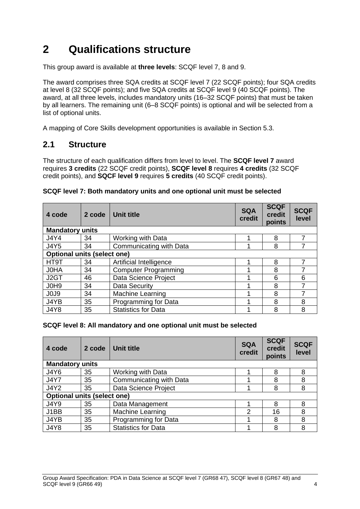## <span id="page-5-0"></span>**2 Qualifications structure**

This group award is available at **three levels**: SCQF level 7, 8 and 9.

The award comprises three SQA credits at SCQF level 7 (22 SCQF points); four SQA credits at level 8 (32 SCQF points); and five SQA credits at SCQF level 9 (40 SCQF points). The award, at all three levels, includes mandatory units (16–32 SCQF points) that must be taken by all learners. The remaining unit (6–8 SCQF points) is optional and will be selected from a list of optional units.

A mapping of Core Skills development opportunities is available in Section 5.3.

### <span id="page-5-1"></span>**2.1 Structure**

The structure of each qualification differs from level to level. The **SCQF level 7** award requires **3 credits** (22 SCQF credit points), **SCQF level 8** requires **4 credits** (32 SCQF credit points), and **SQCF level 9** requires **5 credits** (40 SCQF credit points).

| 4 code                             | 2 code | Unit title                  | <b>SQA</b><br>credit | <b>SCQF</b><br>credit<br>points | <b>SCQF</b><br>level |
|------------------------------------|--------|-----------------------------|----------------------|---------------------------------|----------------------|
| <b>Mandatory units</b>             |        |                             |                      |                                 |                      |
| <b>J4Y4</b>                        | 34     | Working with Data           |                      | 8                               |                      |
| <b>J4Y5</b>                        | 34     | Communicating with Data     |                      | 8                               |                      |
| <b>Optional units (select one)</b> |        |                             |                      |                                 |                      |
| HT9T                               | 34     | Artificial Intelligence     |                      | 8                               |                      |
| J0HA                               | 34     | <b>Computer Programming</b> |                      | 8                               |                      |
| J <sub>2</sub> GT                  | 46     | Data Science Project        |                      | 6                               | 6                    |
| J0H9                               | 34     | Data Security               |                      | 8                               |                      |
| J0J9                               | 34     | Machine Learning            |                      | 8                               |                      |
| J4YB                               | 35     | Programming for Data        | 4                    | 8                               | 8                    |
| <b>J4Y8</b>                        | 35     | <b>Statistics for Data</b>  |                      | 8                               | 8                    |

| SCQF level 7: Both mandatory units and one optional unit must be selected |
|---------------------------------------------------------------------------|
|---------------------------------------------------------------------------|

#### **SCQF level 8: All mandatory and one optional unit must be selected**

| 4 code                             | 2 code | Unit title                 | <b>SQA</b><br>credit | <b>SCQF</b><br>credit<br>points | <b>SCQF</b><br>level |  |  |  |  |  |  |  |
|------------------------------------|--------|----------------------------|----------------------|---------------------------------|----------------------|--|--|--|--|--|--|--|
| <b>Mandatory units</b>             |        |                            |                      |                                 |                      |  |  |  |  |  |  |  |
| <b>J4Y6</b>                        | 35     | Working with Data          | и                    | 8                               | 8                    |  |  |  |  |  |  |  |
| <b>J4Y7</b>                        | 35     | Communicating with Data    |                      | 8                               | 8                    |  |  |  |  |  |  |  |
| <b>J4Y2</b>                        | 35     | Data Science Project       |                      | 8                               | 8                    |  |  |  |  |  |  |  |
| <b>Optional units (select one)</b> |        |                            |                      |                                 |                      |  |  |  |  |  |  |  |
| <b>J4Y9</b>                        | 35     | Data Management            |                      | 8                               | 8                    |  |  |  |  |  |  |  |
| J1BB                               | 35     | Machine Learning           | $\overline{2}$       | 16                              | 8                    |  |  |  |  |  |  |  |
| J4YB                               | 35     | Programming for Data       |                      | 8                               | 8                    |  |  |  |  |  |  |  |
| <b>J4Y8</b>                        | 35     | <b>Statistics for Data</b> |                      | 8                               | 8                    |  |  |  |  |  |  |  |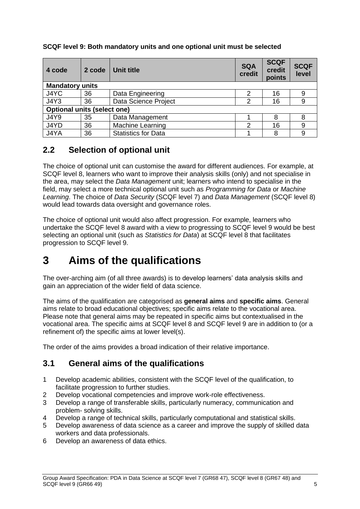| 4 code                             | 2 code | <b>Unit title</b>          | <b>SQA</b><br>credit | <b>SCQF</b><br>credit<br>points | <b>SCQF</b><br>level |  |  |  |  |
|------------------------------------|--------|----------------------------|----------------------|---------------------------------|----------------------|--|--|--|--|
| <b>Mandatory units</b>             |        |                            |                      |                                 |                      |  |  |  |  |
| J4YC                               | 36     | Data Engineering           | 2                    | 16                              |                      |  |  |  |  |
| <b>J4Y3</b>                        | 36     | Data Science Project       | 16<br>2              |                                 |                      |  |  |  |  |
| <b>Optional units (select one)</b> |        |                            |                      |                                 |                      |  |  |  |  |
| <b>J4Y9</b>                        | 35     | Data Management            |                      | 8                               |                      |  |  |  |  |
| J4YD                               | 36     | Machine Learning           | 2                    | 16                              | 9                    |  |  |  |  |
| J4YA                               | 36     | <b>Statistics for Data</b> |                      | 8                               |                      |  |  |  |  |

#### **SCQF level 9: Both mandatory units and one optional unit must be selected**

### <span id="page-6-0"></span>**2.2 Selection of optional unit**

The choice of optional unit can customise the award for different audiences. For example, at SCQF level 8, learners who want to improve their analysis skills (only) and not specialise in the area, may select the *Data Management* unit; learners who intend to specialise in the field, may select a more technical optional unit such as *Programming for Data* or *Machine Learning*. The choice of *Data Security* (SCQF level 7) and *Data Management* (SCQF level 8) would lead towards data oversight and governance roles.

The choice of optional unit would also affect progression. For example, learners who undertake the SCQF level 8 award with a view to progressing to SCQF level 9 would be best selecting an optional unit (such as *Statistics for Data*) at SCQF level 8 that facilitates progression to SCQF level 9.

## <span id="page-6-1"></span>**3 Aims of the qualifications**

The over-arching aim (of all three awards) is to develop learners' data analysis skills and gain an appreciation of the wider field of data science.

The aims of the qualification are categorised as **general aims** and **specific aims**. General aims relate to broad educational objectives; specific aims relate to the vocational area. Please note that general aims may be repeated in specific aims but contextualised in the vocational area. The specific aims at SCQF level 8 and SCQF level 9 are in addition to (or a refinement of) the specific aims at lower level(s).

The order of the aims provides a broad indication of their relative importance.

## <span id="page-6-2"></span>**3.1 General aims of the qualifications**

- 1 Develop academic abilities, consistent with the SCQF level of the qualification, to facilitate progression to further studies.
- 2 Develop vocational competencies and improve work-role effectiveness.
- 3 Develop a range of transferable skills, particularly numeracy, communication and problem- solving skills.
- 4 Develop a range of technical skills, particularly computational and statistical skills.
- 5 Develop awareness of data science as a career and improve the supply of skilled data workers and data professionals.
- 6 Develop an awareness of data ethics.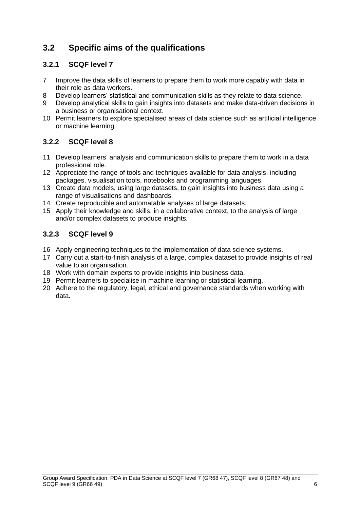## <span id="page-7-0"></span>**3.2 Specific aims of the qualifications**

### <span id="page-7-1"></span>**3.2.1 SCQF level 7**

- 7 Improve the data skills of learners to prepare them to work more capably with data in their role as data workers.
- 8 Develop learners' statistical and communication skills as they relate to data science.
- 9 Develop analytical skills to gain insights into datasets and make data-driven decisions in a business or organisational context.
- 10 Permit learners to explore specialised areas of data science such as artificial intelligence or machine learning.

### <span id="page-7-2"></span>**3.2.2 SCQF level 8**

- 11 Develop learners' analysis and communication skills to prepare them to work in a data professional role.
- 12 Appreciate the range of tools and techniques available for data analysis, including packages, visualisation tools, notebooks and programming languages.
- 13 Create data models, using large datasets, to gain insights into business data using a range of visualisations and dashboards.
- 14 Create reproducible and automatable analyses of large datasets.
- 15 Apply their knowledge and skills, in a collaborative context, to the analysis of large and/or complex datasets to produce insights.

#### <span id="page-7-3"></span>**3.2.3 SCQF level 9**

- 16 Apply engineering techniques to the implementation of data science systems.
- 17 Carry out a start-to-finish analysis of a large, complex dataset to provide insights of real value to an organisation.
- 18 Work with domain experts to provide insights into business data.
- 19 Permit learners to specialise in machine learning or statistical learning.
- 20 Adhere to the regulatory, legal, ethical and governance standards when working with data.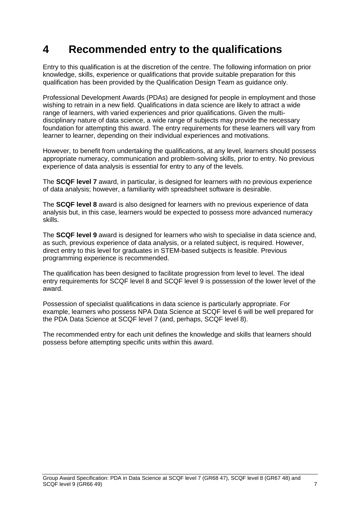## <span id="page-8-0"></span>**4 Recommended entry to the qualifications**

Entry to this qualification is at the discretion of the centre. The following information on prior knowledge, skills, experience or qualifications that provide suitable preparation for this qualification has been provided by the Qualification Design Team as guidance only.

Professional Development Awards (PDAs) are designed for people in employment and those wishing to retrain in a new field. Qualifications in data science are likely to attract a wide range of learners, with varied experiences and prior qualifications. Given the multidisciplinary nature of data science, a wide range of subjects may provide the necessary foundation for attempting this award. The entry requirements for these learners will vary from learner to learner, depending on their individual experiences and motivations.

However, to benefit from undertaking the qualifications, at any level, learners should possess appropriate numeracy, communication and problem-solving skills, prior to entry. No previous experience of data analysis is essential for entry to any of the levels.

The **SCQF level 7** award, in particular, is designed for learners with no previous experience of data analysis; however, a familiarity with spreadsheet software is desirable.

The **SCQF level 8** award is also designed for learners with no previous experience of data analysis but, in this case, learners would be expected to possess more advanced numeracy skills.

The **SCQF level 9** award is designed for learners who wish to specialise in data science and, as such, previous experience of data analysis, or a related subject, is required. However, direct entry to this level for graduates in STEM-based subjects is feasible. Previous programming experience is recommended.

The qualification has been designed to facilitate progression from level to level. The ideal entry requirements for SCQF level 8 and SCQF level 9 is possession of the lower level of the award.

Possession of specialist qualifications in data science is particularly appropriate. For example, learners who possess NPA Data Science at SCQF level 6 will be well prepared for the PDA Data Science at SCQF level 7 (and, perhaps, SCQF level 8).

The recommended entry for each unit defines the knowledge and skills that learners should possess before attempting specific units within this award.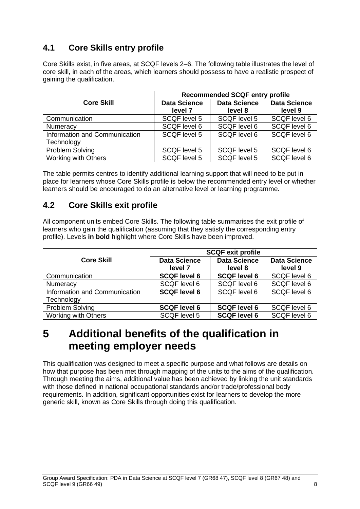## <span id="page-9-0"></span>**4.1 Core Skills entry profile**

Core Skills exist, in five areas, at SCQF levels 2–6. The following table illustrates the level of core skill, in each of the areas, which learners should possess to have a realistic prospect of gaining the qualification.

|                                             | <b>Recommended SCQF entry profile</b> |                                |                                |  |  |  |  |  |  |
|---------------------------------------------|---------------------------------------|--------------------------------|--------------------------------|--|--|--|--|--|--|
| <b>Core Skill</b>                           | <b>Data Science</b><br>level 7        | <b>Data Science</b><br>level 8 | <b>Data Science</b><br>level 9 |  |  |  |  |  |  |
| Communication                               | <b>SCQF level 5</b>                   | SCQF level 5                   | SCQF level 6                   |  |  |  |  |  |  |
| Numeracy                                    | SCQF level 6                          | SCQF level 6                   | SCQF level 6                   |  |  |  |  |  |  |
| Information and Communication<br>Technology | SCQF level 5                          | SCQF level 6                   | SCQF level 6                   |  |  |  |  |  |  |
| <b>Problem Solving</b>                      | SCQF level 5                          | SCQF level 5                   | <b>SCQF</b> level 6            |  |  |  |  |  |  |
| <b>Working with Others</b>                  | SCQF level 5                          | SCQF level 5                   | <b>SCQF level 6</b>            |  |  |  |  |  |  |

The table permits centres to identify additional learning support that will need to be put in place for learners whose Core Skills profile is below the recommended entry level or whether learners should be encouraged to do an alternative level or learning programme.

### <span id="page-9-1"></span>**4.2 Core Skills exit profile**

All component units embed Core Skills. The following table summarises the exit profile of learners who gain the qualification (assuming that they satisfy the corresponding entry profile). Levels **in bold** highlight where Core Skills have been improved.

|                               | <b>SCQF exit profile</b> |                     |                     |  |  |  |  |  |  |  |
|-------------------------------|--------------------------|---------------------|---------------------|--|--|--|--|--|--|--|
| <b>Core Skill</b>             | <b>Data Science</b>      | <b>Data Science</b> | <b>Data Science</b> |  |  |  |  |  |  |  |
|                               | level 7                  | level 8             | level 9             |  |  |  |  |  |  |  |
| Communication                 | <b>SCQF level 6</b>      | <b>SCQF level 6</b> | SCQF level 6        |  |  |  |  |  |  |  |
| Numeracy                      | <b>SCQF level 6</b>      | <b>SCQF level 6</b> | SCQF level 6        |  |  |  |  |  |  |  |
| Information and Communication | <b>SCQF level 6</b>      | SCQF level 6        | SCQF level 6        |  |  |  |  |  |  |  |
| Technology                    |                          |                     |                     |  |  |  |  |  |  |  |
| <b>Problem Solving</b>        | <b>SCQF level 6</b>      | <b>SCQF level 6</b> | SCQF level 6        |  |  |  |  |  |  |  |
| Working with Others           | <b>SCQF level 5</b>      | <b>SCQF level 6</b> | SCQF level 6        |  |  |  |  |  |  |  |

## <span id="page-9-2"></span>**5 Additional benefits of the qualification in meeting employer needs**

This qualification was designed to meet a specific purpose and what follows are details on how that purpose has been met through mapping of the units to the aims of the qualification. Through meeting the aims, additional value has been achieved by linking the unit standards with those defined in national occupational standards and/or trade/professional body requirements. In addition, significant opportunities exist for learners to develop the more generic skill, known as Core Skills through doing this qualification.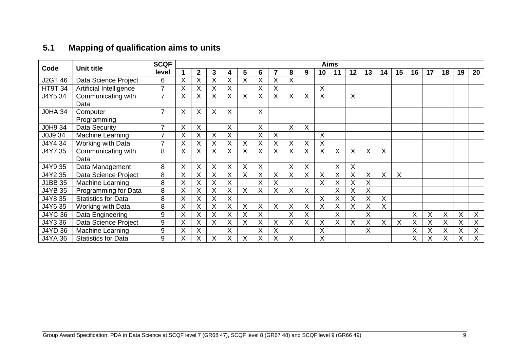## **5.1 Mapping of qualification aims to units**

<span id="page-10-0"></span>

| Code           | <b>Unit title</b>          | <b>SCQF</b>              |   |              |   |    |          |         |    |   |   |    | <b>Aims</b> |                 |              |    |    |    |    |    |    |         |
|----------------|----------------------------|--------------------------|---|--------------|---|----|----------|---------|----|---|---|----|-------------|-----------------|--------------|----|----|----|----|----|----|---------|
|                |                            | level                    | 1 | $\mathbf{2}$ | 3 | 4  | 5        | 6       |    | 8 | 9 | 10 | 11          | 12 <sub>2</sub> | 13           | 14 | 15 | 16 | 17 | 18 | 19 | 20      |
| <b>J2GT 46</b> | Data Science Project       | 6                        | Χ | Χ            | X | Χ  | X        | Χ       | X  | X |   |    |             |                 |              |    |    |    |    |    |    |         |
| <b>HT9T 34</b> | Artificial Intelligence    | $\overline{\phantom{0}}$ | Χ | X            | X | Χ  |          | X       | X  |   |   | X  |             |                 |              |    |    |    |    |    |    |         |
| J4Y5 34        | Communicating with         |                          | X | X            | X | Χ  | X        | X       | X  | X | X | X  |             | X               |              |    |    |    |    |    |    |         |
|                | Data                       |                          |   |              |   |    |          |         |    |   |   |    |             |                 |              |    |    |    |    |    |    |         |
| <b>JOHA 34</b> | Computer                   | 7                        | X | X            | X | X  |          | $\sf X$ |    |   |   |    |             |                 |              |    |    |    |    |    |    |         |
|                | Programming                |                          |   |              |   |    |          |         |    |   |   |    |             |                 |              |    |    |    |    |    |    |         |
| J0H9 34        | <b>Data Security</b>       |                          | X | X            |   | X  |          | X       |    | X | X |    |             |                 |              |    |    |    |    |    |    |         |
| J0J9 34        | Machine Learning           |                          | X | Χ            | X | X  |          | X       | X. |   |   | X  |             |                 |              |    |    |    |    |    |    |         |
| J4Y4 34        | Working with Data          |                          | Χ | X            | X | Χ  | X        | X       | X  | X | X | X  |             |                 |              |    |    |    |    |    |    |         |
| J4Y7 35        | Communicating with         | 8                        | X | X            | X | X. | X        | X       | X  | X | X | X  | X           | X               | $\mathsf{X}$ | X  |    |    |    |    |    |         |
|                | Data                       |                          |   |              |   |    |          |         |    |   |   |    |             |                 |              |    |    |    |    |    |    |         |
| J4Y9 35        | Data Management            | 8                        | Χ | X            | X | X  | X        | X       |    | X | X |    | X           | X               |              |    |    |    |    |    |    |         |
| J4Y2 35        | Data Science Project       | 8                        | X |              | X | Χ  | X        | Χ       | Χ  | X | X | X  | X           | X               | X            | X  | X  |    |    |    |    |         |
| J1BB 35        | <b>Machine Learning</b>    | 8                        | X | Χ            | X | X  |          | X       | X  |   |   | X  | X           | Χ               | X            |    |    |    |    |    |    |         |
| <b>J4YB 35</b> | Programming for Data       | 8                        | Χ |              | X | Χ  | X        | X       | X  | X | X |    | X           | X               | X            |    |    |    |    |    |    |         |
| J4Y8 35        | <b>Statistics for Data</b> | 8                        | X | X            | X | X. |          |         |    |   |   | X  | X           | X               | X            | X. |    |    |    |    |    |         |
| J4Y6 35        | Working with Data          | 8                        | X | Χ            | X | Χ  | X        | X       | X  | X | X | X  | X           | X               | X            | X  |    |    |    |    |    |         |
| <b>J4YC 36</b> | Data Engineering           | 9                        | X | X            | X | X  | X        | X       |    | X | X |    | X           |                 | X            |    |    | X  | X  | X  | X  | $\sf X$ |
| J4Y3 36        | Data Science Project       | 9                        | X | Χ            | X | X  | $\times$ | X       | Χ  | X | X | X  | X           | X               | X            | X  | X  | X  | X  | X  | X  | X       |
| <b>J4YD 36</b> | Machine Learning           | 9                        | Χ | Χ            |   | X  |          | Χ       | X  |   |   | X  |             |                 | X.           |    |    | Χ  | X  | X  | X  | X       |
| <b>J4YA 36</b> | <b>Statistics for Data</b> | 9                        | Χ |              | Χ | Χ  | X        | Χ       | Χ  | Χ |   | X  |             |                 |              |    |    | Χ  | X  | X  | Χ  | Χ       |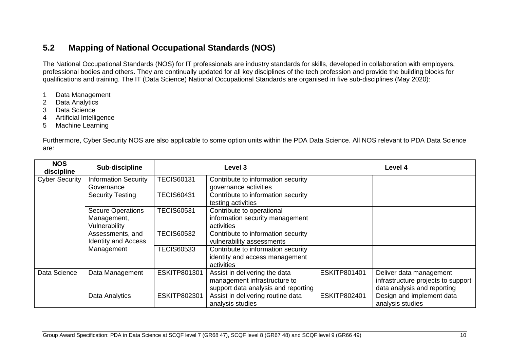## **5.2 Mapping of National Occupational Standards (NOS)**

The National Occupational Standards (NOS) for IT professionals are industry standards for skills, developed in collaboration with employers, professional bodies and others. They are continually updated for all key disciplines of the tech profession and provide the building blocks for qualifications and training. The IT (Data Science) National Occupational Standards are organised in five sub-disciplines (May 2020):

- 1 Data Management
- 2 Data Analytics
- 3 Data Science
- 4 Artificial Intelligence
- 5 Machine Learning

Furthermore, Cyber Security NOS are also applicable to some option units within the PDA Data Science. All NOS relevant to PDA Data Science are:

<span id="page-11-0"></span>

| <b>NOS</b><br>discipline | Sub-discipline                                           |                   | Level 3                                                                                              |                     | Level 4                                                                                      |
|--------------------------|----------------------------------------------------------|-------------------|------------------------------------------------------------------------------------------------------|---------------------|----------------------------------------------------------------------------------------------|
| <b>Cyber Security</b>    | <b>Information Security</b><br>Governance                | <b>TECIS60131</b> | Contribute to information security<br>governance activities                                          |                     |                                                                                              |
|                          | <b>Security Testing</b>                                  | <b>TECIS60431</b> | Contribute to information security<br>testing activities                                             |                     |                                                                                              |
|                          | <b>Secure Operations</b><br>Management,<br>Vulnerability | <b>TECIS60531</b> | Contribute to operational<br>information security management<br>activities                           |                     |                                                                                              |
|                          | Assessments, and<br><b>Identity and Access</b>           | <b>TECIS60532</b> | Contribute to information security<br>vulnerability assessments                                      |                     |                                                                                              |
|                          | Management                                               | <b>TECIS60533</b> | Contribute to information security<br>identity and access management<br>activities                   |                     |                                                                                              |
| Data Science             | Data Management                                          | ESKITP801301      | Assist in delivering the data<br>management infrastructure to<br>support data analysis and reporting | ESKITP801401        | Deliver data management<br>infrastructure projects to support<br>data analysis and reporting |
|                          | Data Analytics                                           | ESKITP802301      | Assist in delivering routine data<br>analysis studies                                                | <b>ESKITP802401</b> | Design and implement data<br>analysis studies                                                |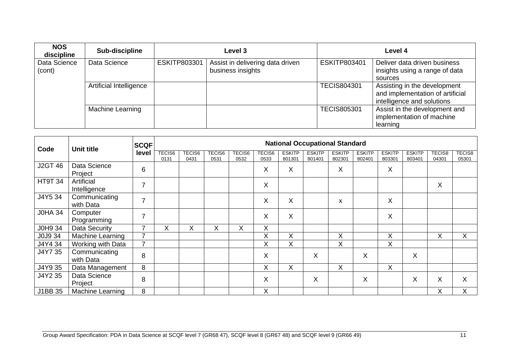| <b>NOS</b><br>discipline | Sub-discipline          |              | Level 3                                               |                     | Level 4                                                                                        |
|--------------------------|-------------------------|--------------|-------------------------------------------------------|---------------------|------------------------------------------------------------------------------------------------|
| Data Science<br>(cont)   | Data Science            | ESKITP803301 | Assist in delivering data driven<br>business insights | <b>ESKITP803401</b> | Deliver data driven business<br>insights using a range of data<br>sources                      |
|                          | Artificial Intelligence |              |                                                       | <b>TECIS804301</b>  | Assisting in the development<br>and implementation of artificial<br>intelligence and solutions |
|                          | Machine Learning        |              |                                                       | <b>TECIS805301</b>  | Assist in the development and<br>implementation of machine<br>learning                         |

| Code           | <b>SCQF</b><br><b>Unit title</b> |                |                |                       |                |                |                |                         | <b>National Occupational Standard</b> |                         |                         |                         |                         |                 |                        |
|----------------|----------------------------------|----------------|----------------|-----------------------|----------------|----------------|----------------|-------------------------|---------------------------------------|-------------------------|-------------------------|-------------------------|-------------------------|-----------------|------------------------|
|                |                                  | level          | TECIS6<br>0131 | <b>TECIS6</b><br>0431 | TECIS6<br>0531 | TECIS6<br>0532 | TECIS6<br>0533 | <b>ESKITP</b><br>801301 | <b>ESKITP</b><br>801401               | <b>ESKITP</b><br>802301 | <b>ESKITP</b><br>802401 | <b>ESKITP</b><br>803301 | <b>ESKITP</b><br>803401 | TECIS8<br>04301 | <b>TECIS8</b><br>05301 |
| <b>J2GT 46</b> | Data Science<br>Project          | 6              |                |                       |                |                | X              | X                       |                                       | X                       |                         | X                       |                         |                 |                        |
| <b>HT9T 34</b> | Artificial<br>Intelligence       | $\overline{7}$ |                |                       |                |                | X              |                         |                                       |                         |                         |                         |                         | X               |                        |
| J4Y5 34        | Communicating<br>with Data       | $\overline{7}$ |                |                       |                |                | X              | X                       |                                       | X                       |                         | X                       |                         |                 |                        |
| <b>JOHA 34</b> | Computer<br>Programming          | $\overline{7}$ |                |                       |                |                | X              | X                       |                                       |                         |                         | X                       |                         |                 |                        |
| J0H9 34        | <b>Data Security</b>             | 7              | X              | X                     | Χ              | X              | X              |                         |                                       |                         |                         |                         |                         |                 |                        |
| J0J9 34        | Machine Learning                 | $\overline{7}$ |                |                       |                |                | X              | X                       |                                       | X                       |                         | X                       |                         | X               | X                      |
| J4Y4 34        | Working with Data                | $\overline{7}$ |                |                       |                |                | X              | X                       |                                       | Χ                       |                         | X                       |                         |                 |                        |
| J4Y7 35        | Communicating<br>with Data       | 8              |                |                       |                |                | X              |                         | X                                     |                         | X                       |                         | X                       |                 |                        |
| J4Y9 35        | Data Management                  | 8              |                |                       |                |                | X              | X                       |                                       | X                       |                         | X                       |                         |                 |                        |
| J4Y2 35        | Data Science<br>Project          | 8              |                |                       |                |                | X              |                         | X                                     |                         | X                       |                         | X                       | X               | X                      |
| J1BB 35        | <b>Machine Learning</b>          | 8              |                |                       |                |                | X              |                         |                                       |                         |                         |                         |                         | Χ               | Χ                      |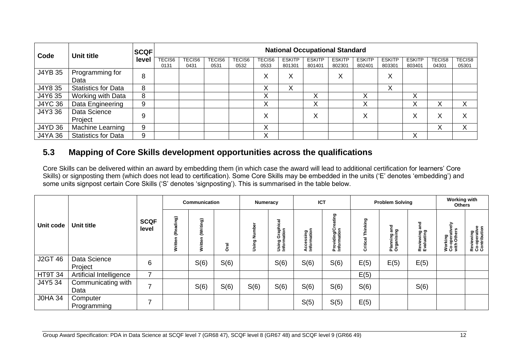| Code    | <b>Unit title</b>          | <b>SCQF</b> | <b>National Occupational Standard</b> |                       |                       |                       |                       |                         |                         |                         |                         |                         |                         |                        |                        |
|---------|----------------------------|-------------|---------------------------------------|-----------------------|-----------------------|-----------------------|-----------------------|-------------------------|-------------------------|-------------------------|-------------------------|-------------------------|-------------------------|------------------------|------------------------|
|         |                            | level       | <b>TECIS6</b><br>0131                 | <b>TECIS6</b><br>0431 | <b>TECIS6</b><br>0531 | <b>TECIS6</b><br>0532 | <b>TECIS6</b><br>0533 | <b>ESKITP</b><br>801301 | <b>ESKITP</b><br>801401 | <b>ESKITP</b><br>802301 | <b>ESKITP</b><br>802401 | <b>ESKITP</b><br>803301 | <b>ESKITP</b><br>803401 | <b>TECIS8</b><br>04301 | <b>TECIS8</b><br>05301 |
| J4YB 35 | Programming for<br>Data    | 8           |                                       |                       |                       |                       | $\checkmark$<br>⋏     | $\checkmark$<br>∧       |                         | ∧                       |                         | X                       |                         |                        |                        |
| J4Y8 35 | <b>Statistics for Data</b> | 8           |                                       |                       |                       |                       | $\checkmark$<br>∧     | $\checkmark$<br>$\sim$  |                         |                         |                         | X                       |                         |                        |                        |
| J4Y6 35 | Working with Data          | 8           |                                       |                       |                       |                       | $\sqrt{}$<br>∧        |                         | ∧                       |                         | v<br>⌒                  |                         | ∧                       |                        |                        |
| J4YC 36 | Data Engineering           | 9           |                                       |                       |                       |                       | $\checkmark$<br>v     |                         | $\checkmark$<br>∧       |                         | $\checkmark$<br>∧       |                         | ⋏                       | ∧                      |                        |
| J4Y3 36 | Data Science<br>Project    | 9           |                                       |                       |                       |                       | Χ                     |                         | $\checkmark$<br>∧       |                         | v<br>∧                  |                         | X                       | ⋏                      |                        |
| J4YD 36 | Machine Learning           | 9           |                                       |                       |                       |                       | X                     |                         |                         |                         |                         |                         |                         | ∧                      |                        |
| J4YA 36 | <b>Statistics for Data</b> | 9           |                                       |                       |                       |                       | X                     |                         |                         |                         |                         |                         | X                       |                        |                        |

### **5.3 Mapping of Core Skills development opportunities across the qualifications**

Core Skills can be delivered within an award by embedding them (in which case the award will lead to additional certification for learners' Core Skills) or signposting them (which does not lead to certification). Some Core Skills may be embedded in the units ('E' denotes 'embedding') and some units signpost certain Core Skills ('S' denotes 'signposting'). This is summarised in the table below.

<span id="page-13-0"></span>

|                |                            |                      | Communication |                     |        | Numeracy     |                                       | <b>ICT</b>                         |                                   | <b>Problem Solving</b> |                                               |                                | <b>Working with</b><br><b>Others</b>        |                                           |
|----------------|----------------------------|----------------------|---------------|---------------------|--------|--------------|---------------------------------------|------------------------------------|-----------------------------------|------------------------|-----------------------------------------------|--------------------------------|---------------------------------------------|-------------------------------------------|
| Unit code      | Unit title                 | <b>SCQF</b><br>level | ē,<br>3       | (Writing)<br>Writte | ಸ<br>ŏ | z<br>ءِ<br>و | <b>Using Graphical</b><br>Information | sing<br>ation<br>Access<br>Informa | ဥ္<br>Providing/Cr<br>Information | nking<br>ಸ<br>Critic   | ត<br>ស<br>g<br><u>은 효</u><br>Planni<br>Organi | and<br>Reviewing<br>Evaluating | 슮<br>Working<br>Co-operative<br>with Others | Reviewing<br>Co-operative<br>Contribution |
| <b>J2GT 46</b> | Data Science<br>Project    | 6                    |               | S(6)                | S(6)   |              | S(6)                                  | S(6)                               | S(6)                              | E(5)                   | E(5)                                          | E(5)                           |                                             |                                           |
| <b>HT9T 34</b> | Artificial Intelligence    | 7                    |               |                     |        |              |                                       |                                    |                                   | E(5)                   |                                               |                                |                                             |                                           |
| J4Y5 34        | Communicating with<br>Data | ⇁                    |               | S(6)                | S(6)   | S(6)         | S(6)                                  | S(6)                               | S(6)                              | S(6)                   |                                               | S(6)                           |                                             |                                           |
| <b>JOHA 34</b> | Computer<br>Programming    | ⇁                    |               |                     |        |              |                                       | S(5)                               | S(5)                              | E(5)                   |                                               |                                |                                             |                                           |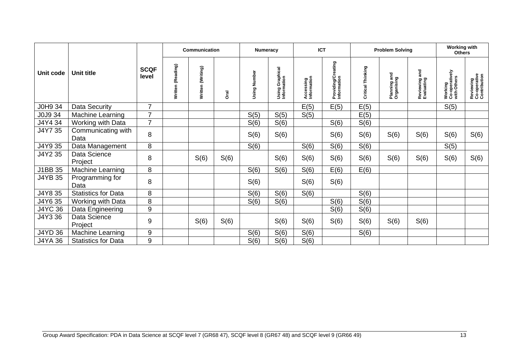|                |                            |                      | <b>Communication</b> |                   |             | <b>Numeracy</b> |                                | <b>ICT</b>               |                                   | <b>Problem Solving</b> |                                  |                             | <b>Working with</b><br><b>Others</b>     |                                           |
|----------------|----------------------------|----------------------|----------------------|-------------------|-------------|-----------------|--------------------------------|--------------------------|-----------------------------------|------------------------|----------------------------------|-----------------------------|------------------------------------------|-------------------------------------------|
| Unit code      | Unit title                 | <b>SCQF</b><br>level | (Reading)<br>Written | Written (Writing) | <b>Dral</b> | Number<br>Using | Using Graphical<br>Information | Accessing<br>Information | Providing/Creating<br>Information | Critical Thinking      | and<br>Planning an<br>Organising | Reviewing and<br>Evaluating | Working<br>Co-operatively<br>with Others | Reviewing<br>Co-operative<br>Contribution |
| J0H9 34        | Data Security              | $\overline{7}$       |                      |                   |             |                 |                                | E(5)                     | E(5)                              | E(5)                   |                                  |                             | S(5)                                     |                                           |
| J0J9 34        | Machine Learning           | $\overline{7}$       |                      |                   |             | S(5)            | S(5)                           | S(5)                     |                                   | E(5)                   |                                  |                             |                                          |                                           |
| J4Y4 34        | Working with Data          | $\overline{7}$       |                      |                   |             | S(6)            | S(6)                           |                          | S(6)                              | S(6)                   |                                  |                             |                                          |                                           |
| J4Y7 35        | Communicating with<br>Data | 8                    |                      |                   |             | S(6)            | S(6)                           |                          | S(6)                              | S(6)                   | S(6)                             | S(6)                        | S(6)                                     | S(6)                                      |
| J4Y9 35        | Data Management            | 8                    |                      |                   |             | S(6)            |                                | S(6)                     | S(6)                              | S(6)                   |                                  |                             | S(5)                                     |                                           |
| J4Y2 35        | Data Science<br>Project    | 8                    |                      | S(6)              | S(6)        |                 | S(6)                           | S(6)                     | S(6)                              | S(6)                   | S(6)                             | S(6)                        | S(6)                                     | S(6)                                      |
| J1BB 35        | Machine Learning           | 8                    |                      |                   |             | S(6)            | S(6)                           | S(6)                     | E(6)                              | E(6)                   |                                  |                             |                                          |                                           |
| <b>J4YB 35</b> | Programming for<br>Data    | 8                    |                      |                   |             | S(6)            |                                | S(6)                     | S(6)                              |                        |                                  |                             |                                          |                                           |
| J4Y8 35        | <b>Statistics for Data</b> | 8                    |                      |                   |             | S(6)            | S(6)                           | S(6)                     |                                   | S(6)                   |                                  |                             |                                          |                                           |
| J4Y6 35        | Working with Data          | 8                    |                      |                   |             | S(6)            | S(6)                           |                          | S(6)                              | S(6)                   |                                  |                             |                                          |                                           |
| <b>J4YC 36</b> | Data Engineering           | $\boldsymbol{9}$     |                      |                   |             |                 |                                |                          | S(6)                              | S(6)                   |                                  |                             |                                          |                                           |
| J4Y3 36        | Data Science<br>Project    | 9                    |                      | S(6)              | S(6)        |                 | S(6)                           | S(6)                     | S(6)                              | S(6)                   | S(6)                             | S(6)                        |                                          |                                           |
| J4YD 36        | Machine Learning           | 9                    |                      |                   |             | S(6)            | S(6)                           | S(6)                     |                                   | S(6)                   |                                  |                             |                                          |                                           |
| J4YA 36        | <b>Statistics for Data</b> | 9                    |                      |                   |             | S(6)            | S(6)                           | S(6)                     |                                   |                        |                                  |                             |                                          |                                           |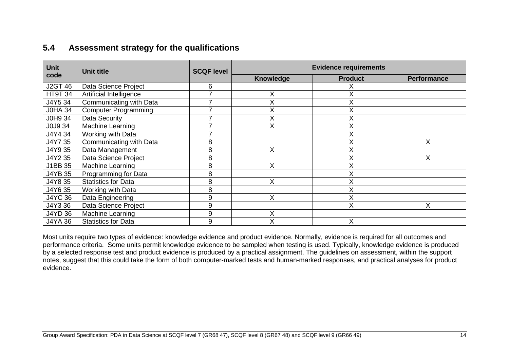## **5.4 Assessment strategy for the qualifications**

| <b>Unit</b>    | <b>Unit title</b>           | <b>SCQF level</b> | <b>Evidence requirements</b> |                |                    |  |  |  |  |
|----------------|-----------------------------|-------------------|------------------------------|----------------|--------------------|--|--|--|--|
| code           |                             |                   | <b>Knowledge</b>             | <b>Product</b> | <b>Performance</b> |  |  |  |  |
| <b>J2GT 46</b> | Data Science Project        | 6                 |                              | х              |                    |  |  |  |  |
| <b>HT9T 34</b> | Artificial Intelligence     |                   | X                            | X              |                    |  |  |  |  |
| J4Y5 34        | Communicating with Data     |                   | X                            | X              |                    |  |  |  |  |
| <b>JOHA 34</b> | <b>Computer Programming</b> |                   | X                            | X              |                    |  |  |  |  |
| J0H9 34        | Data Security               |                   | X                            | X              |                    |  |  |  |  |
| J0J9 34        | Machine Learning            |                   | X                            | X              |                    |  |  |  |  |
| J4Y4 34        | Working with Data           |                   |                              | X              |                    |  |  |  |  |
| J4Y7 35        | Communicating with Data     | 8                 |                              | X              | X                  |  |  |  |  |
| J4Y9 35        | Data Management             | 8                 | Χ                            | X              |                    |  |  |  |  |
| J4Y2 35        | Data Science Project        | 8                 |                              | X              | X                  |  |  |  |  |
| J1BB 35        | Machine Learning            | 8                 | X                            | X              |                    |  |  |  |  |
| J4YB 35        | Programming for Data        | 8                 |                              | X              |                    |  |  |  |  |
| J4Y8 35        | <b>Statistics for Data</b>  | 8                 | X                            | X              |                    |  |  |  |  |
| J4Y6 35        | Working with Data           | 8                 |                              | X              |                    |  |  |  |  |
| <b>J4YC 36</b> | Data Engineering            | 9                 | X                            | X              |                    |  |  |  |  |
| J4Y3 36        | Data Science Project        | 9                 |                              | X              | X                  |  |  |  |  |
| J4YD 36        | Machine Learning            | 9                 | X                            |                |                    |  |  |  |  |
| <b>J4YA 36</b> | <b>Statistics for Data</b>  | 9                 | X                            | X              |                    |  |  |  |  |

<span id="page-15-0"></span>Most units require two types of evidence: knowledge evidence and product evidence. Normally, evidence is required for all outcomes and performance criteria. Some units permit knowledge evidence to be sampled when testing is used. Typically, knowledge evidence is produced by a selected response test and product evidence is produced by a practical assignment. The guidelines on assessment, within the support notes, suggest that this could take the form of both computer-marked tests and human-marked responses, and practical analyses for product evidence.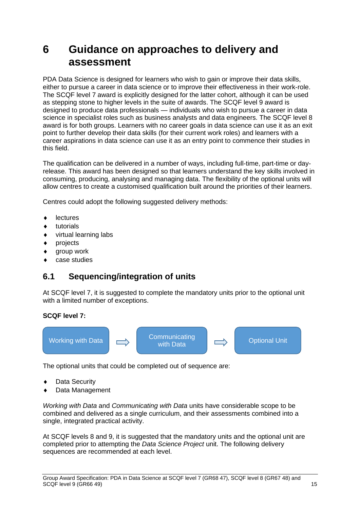## <span id="page-16-0"></span>**6 Guidance on approaches to delivery and assessment**

PDA Data Science is designed for learners who wish to gain or improve their data skills, either to pursue a career in data science or to improve their effectiveness in their work-role. The SCQF level 7 award is explicitly designed for the latter cohort, although it can be used as stepping stone to higher levels in the suite of awards. The SCQF level 9 award is designed to produce data professionals — individuals who wish to pursue a career in data science in specialist roles such as business analysts and data engineers. The SCQF level 8 award is for both groups. Learners with no career goals in data science can use it as an exit point to further develop their data skills (for their current work roles) and learners with a career aspirations in data science can use it as an entry point to commence their studies in this field.

The qualification can be delivered in a number of ways, including full-time, part-time or dayrelease. This award has been designed so that learners understand the key skills involved in consuming, producing, analysing and managing data. The flexibility of the optional units will allow centres to create a customised qualification built around the priorities of their learners.

Centres could adopt the following suggested delivery methods:

- **lectures**
- $\bullet$  tutorials
- virtual learning labs
- projects
- group work
- case studies

### <span id="page-16-1"></span>**6.1 Sequencing/integration of units**

At SCQF level 7, it is suggested to complete the mandatory units prior to the optional unit with a limited number of exceptions.

#### **SCQF level 7:**



The optional units that could be completed out of sequence are:

- Data Security
- Data Management

*Working with Data* and *Communicating with Data* units have considerable scope to be combined and delivered as a single curriculum, and their assessments combined into a single, integrated practical activity.

At SCQF levels 8 and 9, it is suggested that the mandatory units and the optional unit are completed prior to attempting the *Data Science Project* unit. The following delivery sequences are recommended at each level.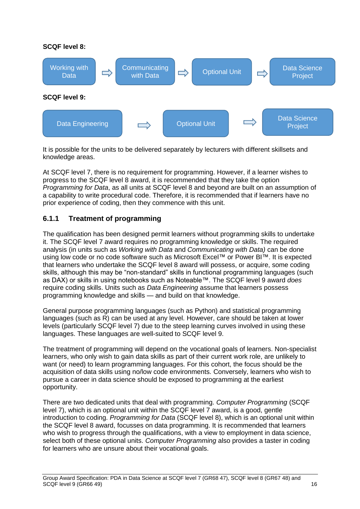

It is possible for the units to be delivered separately by lecturers with different skillsets and knowledge areas.

At SCQF level 7, there is no requirement for programming. However, if a learner wishes to progress to the SCQF level 8 award, it is recommended that they take the option *Programming for Data*, as all units at SCQF level 8 and beyond are built on an assumption of a capability to write procedural code. Therefore, it is recommended that if learners have no prior experience of coding, then they commence with this unit.

### <span id="page-17-0"></span>**6.1.1 Treatment of programming**

The qualification has been designed permit learners without programming skills to undertake it. The SCQF level 7 award requires no programming knowledge or skills. The required analysis (in units such as *Working with Data* and *Communicating with Data)* can be done using low code or no code software such as Microsoft Excel™ or Power BI™. It is expected that learners who undertake the SCQF level 8 award will possess, or acquire, some coding skills, although this may be "non-standard" skills in functional programming languages (such as DAX) or skills in using notebooks such as Noteable™. The SCQF level 9 award *does* require coding skills. Units such as *Data Engineering* assume that learners possess programming knowledge and skills — and build on that knowledge.

General purpose programming languages (such as Python) and statistical programming languages (such as R) can be used at any level. However, care should be taken at lower levels (particularly SCQF level 7) due to the steep learning curves involved in using these languages. These languages are well-suited to SCQF level 9.

The treatment of programming will depend on the vocational goals of learners. Non-specialist learners, who only wish to gain data skills as part of their current work role, are unlikely to want (or need) to learn programming languages. For this cohort, the focus should be the acquisition of data skills using no/low code environments. Conversely, learners who wish to pursue a career in data science should be exposed to programming at the earliest opportunity.

There are two dedicated units that deal with programming. *Computer Programming* (SCQF level 7), which is an optional unit within the SCQF level 7 award, is a good, gentle introduction to coding. *Programming for Data* (SCQF level 8), which is an optional unit within the SCQF level 8 award, focusses on data programming. It is recommended that learners who wish to progress through the qualifications, with a view to employment in data science, select both of these optional units. *Computer Programming* also provides a taster in coding for learners who are unsure about their vocational goals.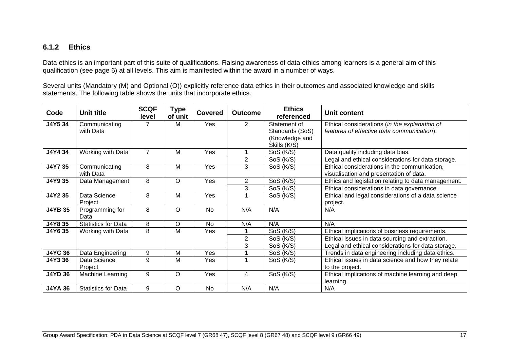#### **6.1.2 Ethics**

Data ethics is an important part of this suite of qualifications. Raising awareness of data ethics among learners is a general aim of this qualification (see page 6) at all levels. This aim is manifested within the award in a number of ways.

Several units (Mandatory (M) and Optional (O)) explicitly reference data ethics in their outcomes and associated knowledge and skills statements. The following table shows the units that incorporate ethics.

<span id="page-18-0"></span>

| Code           | <b>Unit title</b>          | <b>SCQF</b><br>level | Type<br>of unit | <b>Covered</b> | <b>Outcome</b> | <b>Ethics</b><br>referenced | Unit content                                        |
|----------------|----------------------------|----------------------|-----------------|----------------|----------------|-----------------------------|-----------------------------------------------------|
| J4Y5 34        | Communicating              | 7                    | м               | Yes            | $\overline{2}$ | Statement of                | Ethical considerations (in the explanation of       |
|                | with Data                  |                      |                 |                |                | Standards (SoS)             | features of effective data communication).          |
|                |                            |                      |                 |                |                | (Knowledge and              |                                                     |
|                |                            |                      |                 |                |                | Skills (K/S)                |                                                     |
| J4Y4 34        | Working with Data          | $\overline{7}$       | M               | Yes            |                | SoS (K/S)                   | Data quality including data bias.                   |
|                |                            |                      |                 |                | $\overline{2}$ | SoS (K/S)                   | Legal and ethical considerations for data storage.  |
| J4Y7 35        | Communicating              | 8                    | M               | Yes            | 3              | SoS (K/S)                   | Ethical considerations in the communication,        |
|                | with Data                  |                      |                 |                |                |                             | visualisation and presentation of data.             |
| J4Y9 35        | Data Management            | 8                    | $\circ$         | Yes            | $\overline{2}$ | SoS (K/S)                   | Ethics and legislation relating to data management. |
|                |                            |                      |                 |                | 3              | SoS (K/S)                   | Ethical considerations in data governance.          |
| J4Y2 35        | Data Science               | 8                    | M               | Yes            |                | SoS (K/S)                   | Ethical and legal considerations of a data science  |
|                | Project                    |                      |                 |                |                |                             | project.                                            |
| <b>J4YB 35</b> | Programming for            | 8                    | $\circ$         | <b>No</b>      | N/A            | N/A                         | N/A                                                 |
|                | Data                       |                      |                 |                |                |                             |                                                     |
| J4Y8 35        | <b>Statistics for Data</b> | 8                    | O               | No             | N/A            | N/A                         | N/A                                                 |
| J4Y6 35        | Working with Data          | 8                    | М               | Yes            |                | SoS (K/S)                   | Ethical implications of business requirements.      |
|                |                            |                      |                 |                | 2              | SoS (K/S)                   | Ethical issues in data sourcing and extraction.     |
|                |                            |                      |                 |                | 3              | SoS (K/S)                   | Legal and ethical considerations for data storage.  |
| <b>J4YC 36</b> | Data Engineering           | 9                    | Μ               | Yes            |                | SoS (K/S)                   | Trends in data engineering including data ethics.   |
| J4Y3 36        | Data Science               | 9                    | M               | Yes            |                | SoS (K/S)                   | Ethical issues in data science and how they relate  |
|                | Project                    |                      |                 |                |                |                             | to the project.                                     |
| <b>J4YD 36</b> | Machine Learning           | 9                    | $\circ$         | Yes            | 4              | SoS (K/S)                   | Ethical implications of machine learning and deep   |
|                |                            |                      |                 |                |                |                             | learning                                            |
| <b>J4YA 36</b> | <b>Statistics for Data</b> | 9                    | $\circ$         | <b>No</b>      | N/A            | N/A                         | N/A                                                 |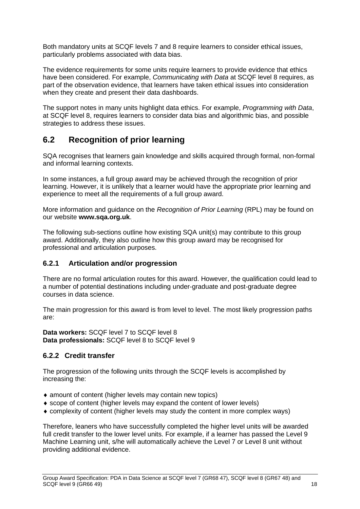Both mandatory units at SCQF levels 7 and 8 require learners to consider ethical issues, particularly problems associated with data bias.

The evidence requirements for some units require learners to provide evidence that ethics have been considered. For example, *Communicating with Data* at SCQF level 8 requires, as part of the observation evidence, that learners have taken ethical issues into consideration when they create and present their data dashboards.

The support notes in many units highlight data ethics. For example, *Programming with Data*, at SCQF level 8, requires learners to consider data bias and algorithmic bias, and possible strategies to address these issues.

### <span id="page-19-0"></span>**6.2 Recognition of prior learning**

SQA recognises that learners gain knowledge and skills acquired through formal, non-formal and informal learning contexts.

In some instances, a full group award may be achieved through the recognition of prior learning. However, it is unlikely that a learner would have the appropriate prior learning and experience to meet all the requirements of a full group award.

More information and guidance on the *Recognition of Prior Learning* (RPL) may be found on our website **[www.sqa.org.uk](http://www.sqa.org.uk/)**.

The following sub-sections outline how existing SQA unit(s) may contribute to this group award. Additionally, they also outline how this group award may be recognised for professional and articulation purposes.

#### <span id="page-19-1"></span>**6.2.1 Articulation and/or progression**

There are no formal articulation routes for this award. However, the qualification could lead to a number of potential destinations including under-graduate and post-graduate degree courses in data science.

The main progression for this award is from level to level. The most likely progression paths are:

**Data workers:** SCQF level 7 to SCQF level 8 **Data professionals:** SCQF level 8 to SCQF level 9

#### **6.2.2 Credit transfer**

The progression of the following units through the SCQF levels is accomplished by increasing the:

- amount of content (higher levels may contain new topics)
- scope of content (higher levels may expand the content of lower levels)
- complexity of content (higher levels may study the content in more complex ways)

Therefore, leaners who have successfully completed the higher level units will be awarded full credit transfer to the lower level units. For example, if a learner has passed the Level 9 Machine Learning unit, s/he will automatically achieve the Level 7 or Level 8 unit without providing additional evidence.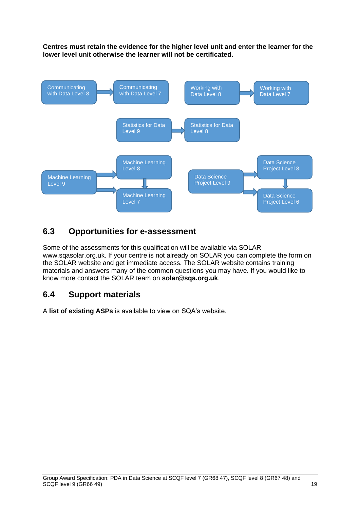**Centres must retain the evidence for the higher level unit and enter the learner for the lower level unit otherwise the learner will not be certificated.**



## <span id="page-20-0"></span>**6.3 Opportunities for e-assessment**

Some of the assessments for this qualification will be available via SOLAR www.sqasolar.org.uk. If your centre is not already on SOLAR you can complete the form on the SOLAR website and get immediate access. The SOLAR website contains training materials and answers many of the common questions you may have. If you would like to know more contact the SOLAR team on **solar@sqa.org.uk**.

### <span id="page-20-1"></span>**6.4 Support materials**

A **[list of existing ASPs](http://www.sqa.org.uk/sqa/46233.2769.html)** is available to view on SQA's website.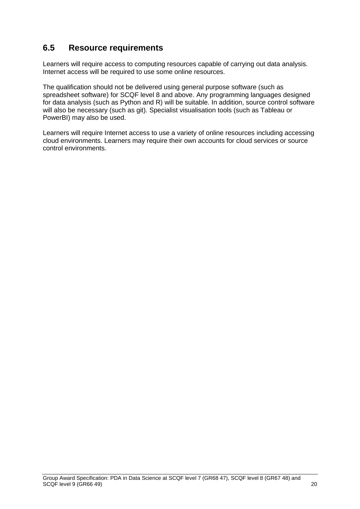## <span id="page-21-0"></span>**6.5 Resource requirements**

Learners will require access to computing resources capable of carrying out data analysis. Internet access will be required to use some online resources.

The qualification should not be delivered using general purpose software (such as spreadsheet software) for SCQF level 8 and above. Any programming languages designed for data analysis (such as Python and R) will be suitable. In addition, source control software will also be necessary (such as git). Specialist visualisation tools (such as Tableau or PowerBI) may also be used.

Learners will require Internet access to use a variety of online resources including accessing cloud environments. Learners may require their own accounts for cloud services or source control environments.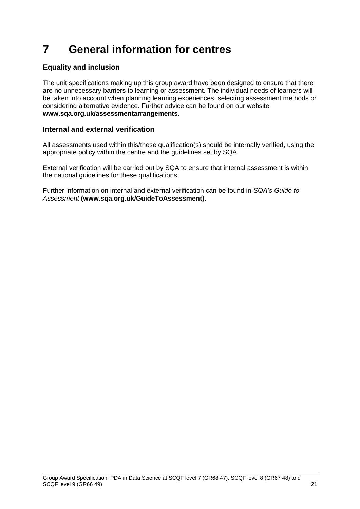## <span id="page-22-0"></span>**7 General information for centres**

### **Equality and inclusion**

The unit specifications making up this group award have been designed to ensure that there are no unnecessary barriers to learning or assessment. The individual needs of learners will be taken into account when planning learning experiences, selecting assessment methods or considering alternative evidence. Further advice can be found on our website **[www.sqa.org.uk/assessmentarrangements](http://www.sqa.org.uk/sqa/14977.html)**.

#### **Internal and external verification**

All assessments used within this/these qualification(s) should be internally verified, using the appropriate policy within the centre and the guidelines set by SQA.

External verification will be carried out by SQA to ensure that internal assessment is within the national guidelines for these qualifications.

Further information on internal and external verification can be found in *SQA's Guide to Assessment* **[\(www.sqa.org.uk/GuideToAssessment\)](http://www.sqa.org.uk/sqa/files_ccc/GuideToAssessment.pdf)**.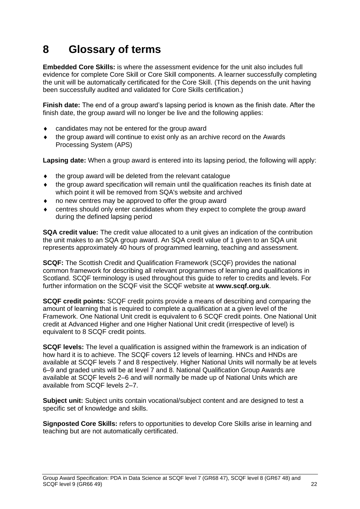## <span id="page-23-0"></span>**8 Glossary of terms**

**Embedded Core Skills:** is where the assessment evidence for the unit also includes full evidence for complete Core Skill or Core Skill components. A learner successfully completing the unit will be automatically certificated for the Core Skill. (This depends on the unit having been successfully audited and validated for Core Skills certification.)

**Finish date:** The end of a group award's lapsing period is known as the finish date. After the finish date, the group award will no longer be live and the following applies:

- candidates may not be entered for the group award
- the group award will continue to exist only as an archive record on the Awards Processing System (APS)

**Lapsing date:** When a group award is entered into its lapsing period, the following will apply:

- the group award will be deleted from the relevant catalogue
- the group award specification will remain until the qualification reaches its finish date at which point it will be removed from SQA's website and archived
- no new centres may be approved to offer the group award
- centres should only enter candidates whom they expect to complete the group award during the defined lapsing period

**SQA credit value:** The credit value allocated to a unit gives an indication of the contribution the unit makes to an SQA group award. An SQA credit value of 1 given to an SQA unit represents approximately 40 hours of programmed learning, teaching and assessment.

**SCQF:** The Scottish Credit and Qualification Framework (SCQF) provides the national common framework for describing all relevant programmes of learning and qualifications in Scotland. SCQF terminology is used throughout this guide to refer to credits and levels. For further information on the SCQF visit the SCQF website at **[www.scqf.org.uk](http://www.scqf.org.uk/)**.

**SCQF credit points:** SCQF credit points provide a means of describing and comparing the amount of learning that is required to complete a qualification at a given level of the Framework. One National Unit credit is equivalent to 6 SCQF credit points. One National Unit credit at Advanced Higher and one Higher National Unit credit (irrespective of level) is equivalent to 8 SCQF credit points.

**SCQF levels:** The level a qualification is assigned within the framework is an indication of how hard it is to achieve. The SCQF covers 12 levels of learning. HNCs and HNDs are available at SCQF levels 7 and 8 respectively. Higher National Units will normally be at levels 6–9 and graded units will be at level 7 and 8. National Qualification Group Awards are available at SCQF levels 2–6 and will normally be made up of National Units which are available from SCQF levels 2–7.

**Subject unit:** Subject units contain vocational/subject content and are designed to test a specific set of knowledge and skills.

**Signposted Core Skills:** refers to opportunities to develop Core Skills arise in learning and teaching but are not automatically certificated.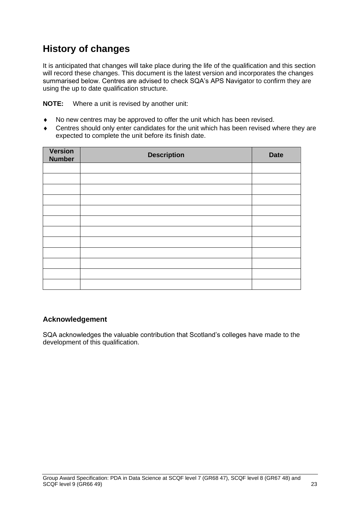## **History of changes**

It is anticipated that changes will take place during the life of the qualification and this section will record these changes. This document is the latest version and incorporates the changes summarised below. Centres are advised to check SQA's APS Navigator to confirm they are using the up to date qualification structure.

**NOTE:** Where a unit is revised by another unit:

- No new centres may be approved to offer the unit which has been revised.
- Centres should only enter candidates for the unit which has been revised where they are expected to complete the unit before its finish date.

| Version<br><b>Number</b> | <b>Description</b> | <b>Date</b> |
|--------------------------|--------------------|-------------|
|                          |                    |             |
|                          |                    |             |
|                          |                    |             |
|                          |                    |             |
|                          |                    |             |
|                          |                    |             |
|                          |                    |             |
|                          |                    |             |
|                          |                    |             |
|                          |                    |             |
|                          |                    |             |
|                          |                    |             |

#### **Acknowledgement**

SQA acknowledges the valuable contribution that Scotland's colleges have made to the development of this qualification.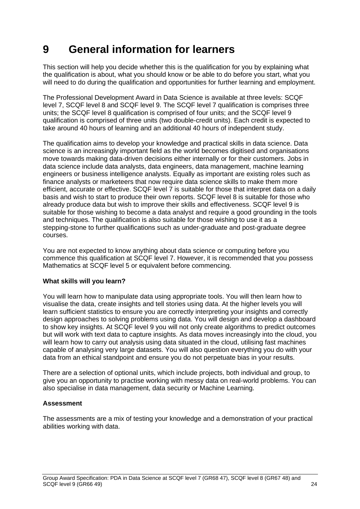## <span id="page-25-0"></span>**9 General information for learners**

This section will help you decide whether this is the qualification for you by explaining what the qualification is about, what you should know or be able to do before you start, what you will need to do during the qualification and opportunities for further learning and employment.

The Professional Development Award in Data Science is available at three levels: SCQF level 7, SCQF level 8 and SCQF level 9. The SCQF level 7 qualification is comprises three units; the SCQF level 8 qualification is comprised of four units; and the SCQF level 9 qualification is comprised of three units (two double-credit units). Each credit is expected to take around 40 hours of learning and an additional 40 hours of independent study.

The qualification aims to develop your knowledge and practical skills in data science. Data science is an increasingly important field as the world becomes digitised and organisations move towards making data-driven decisions either internally or for their customers. Jobs in data science include data analysts, data engineers, data management, machine learning engineers or business intelligence analysts. Equally as important are existing roles such as finance analysts or marketeers that now require data science skills to make them more efficient, accurate or effective. SCQF level 7 is suitable for those that interpret data on a daily basis and wish to start to produce their own reports. SCQF level 8 is suitable for those who already produce data but wish to improve their skills and effectiveness. SCQF level 9 is suitable for those wishing to become a data analyst and require a good grounding in the tools and techniques. The qualification is also suitable for those wishing to use it as a stepping-stone to further qualifications such as under-graduate and post-graduate degree courses.

You are not expected to know anything about data science or computing before you commence this qualification at SCQF level 7. However, it is recommended that you possess Mathematics at SCQF level 5 or equivalent before commencing.

#### **What skills will you learn?**

You will learn how to manipulate data using appropriate tools. You will then learn how to visualise the data, create insights and tell stories using data. At the higher levels you will learn sufficient statistics to ensure you are correctly interpreting your insights and correctly design approaches to solving problems using data. You will design and develop a dashboard to show key insights. At SCQF level 9 you will not only create algorithms to predict outcomes but will work with text data to capture insights. As data moves increasingly into the cloud, you will learn how to carry out analysis using data situated in the cloud, utilising fast machines capable of analysing very large datasets. You will also question everything you do with your data from an ethical standpoint and ensure you do not perpetuate bias in your results.

There are a selection of optional units, which include projects, both individual and group, to give you an opportunity to practise working with messy data on real-world problems. You can also specialise in data management, data security or Machine Learning.

#### **Assessment**

The assessments are a mix of testing your knowledge and a demonstration of your practical abilities working with data.